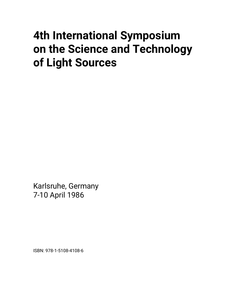# **4th International Symposium on the Science and Technology of Light Sources**

Karlsruhe, Germany 7-10 April 1986

ISBN: 978-1-5108-4108-6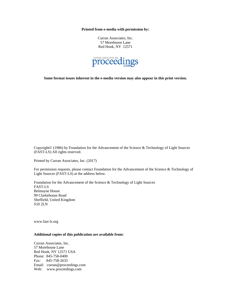**Printed from e-media with permission by:** 

Curran Associates, Inc. 57 Morehouse Lane Red Hook, NY 12571



**Some format issues inherent in the e-media version may also appear in this print version.** 

Copyright© (1986) by Foundation for the Advancement of the Science & Technology of Light Sources (FAST-LS) All rights reserved.

Printed by Curran Associates, Inc. (2017)

For permission requests, please contact Foundation for the Advancement of the Science & Technology of Light Sources (FAST-LS) at the address below.

Foundation for the Advancement of the Science & Technology of Light Sources FAST-LS Belmayne House 99 Clarkehouse Road Sheffield, United Kingdom S10 2LN

www.fast-ls.org

#### **Additional copies of this publication are available from:**

Curran Associates, Inc. 57 Morehouse Lane Red Hook, NY 12571 USA Phone: 845-758-0400 Fax: 845-758-2633 Email: curran@proceedings.com Web: www.proceedings.com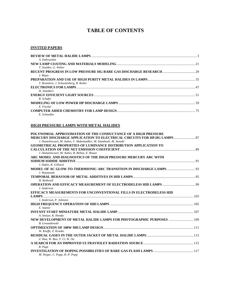# **TABLE OF CONTENTS**

#### **INVITED PAPERS**

| A. Dobrusskin                           |  |
|-----------------------------------------|--|
|                                         |  |
| T. Souldes, G. Weber                    |  |
|                                         |  |
| J. Maya                                 |  |
|                                         |  |
| T. Brumleve, J. Schoolenberg, R. Roller |  |
|                                         |  |
| H. Smulders                             |  |
|                                         |  |
| R. Schafer                              |  |
|                                         |  |
| E. Fischer                              |  |
|                                         |  |
| E. Schnedler                            |  |

#### **HIGH PRESSURE LAMPS WITH METAL HALIDES**

| POLYNOMIAL APPROXIMATION OF THE CONDUCTANCE OF A HIGH PRESSURE          |  |
|-------------------------------------------------------------------------|--|
| MERCURY DISCHARGE APPLICATION TO ELECTRICAL CIRCUITS FOR HP.HG LAMPS 87 |  |
| J. Damelincourt, M. Aubes, T. Abdennadher, M. Stambouli, M. Annabi      |  |
| <b>GEOMETRICAL PROPERTIES OF LUMINANCE DISTRIBUTION APPLICATION TO</b>  |  |
|                                                                         |  |
| J. Damalincourt, M. Aubes, B. Bellon, E. Roaux                          |  |
| ARC MODEL AND DIAGNOSTICS OF THE HIGH PRESSURE MERCURY ARC WITH         |  |
|                                                                         |  |
| J. Dakin, R. Gilliard                                                   |  |
|                                                                         |  |
| J. Waymouth                                                             |  |
|                                                                         |  |
| H. Rothwell                                                             |  |
|                                                                         |  |
| J. Anderson                                                             |  |
| EFFICACY MEASUREMENTS FOR UNCONVENTIONAL FILLS IN ELECTRODELESS HID     |  |
|                                                                         |  |
| J. Anderson, P. Johnson                                                 |  |
|                                                                         |  |
| E. Statnic                                                              |  |
|                                                                         |  |
| A. Inouye, K. Honda                                                     |  |
| NEW DEVELOPMENT OF METAL HALIDE LAMPS FOR PHOTOGRAPHIC PURPOSES  109    |  |
| <b>B.</b> Lewandowski                                                   |  |
|                                                                         |  |
| W. Keeffe, Z. Krasko                                                    |  |
|                                                                         |  |
| Z. Hua, W. Ruo, Y. Ci, W. Ou                                            |  |
|                                                                         |  |
| R. Page                                                                 |  |
|                                                                         |  |
| M. Neiger, C. Popp, H.-P. Popp                                          |  |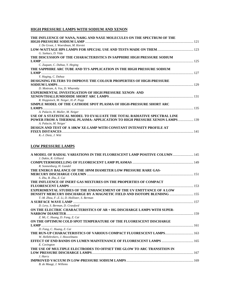#### **HIGH PRESSURE LAMPS WITH SODIUM AND XENON**

| THE INFLUENCE OF NANA, NAHG AND NAXE MOLECULES ON THE SPECTRUM OF THE                                                                                 |  |
|-------------------------------------------------------------------------------------------------------------------------------------------------------|--|
| J. De Groot, J. Woerdman, M. Kieviet                                                                                                                  |  |
|                                                                                                                                                       |  |
| G. Szekacs, D. Vida                                                                                                                                   |  |
| THE DISCUSSION OF THE CHARACTERISTICS IN SAPPHIRE HIGH PRESSURE SODIUM                                                                                |  |
| C. Zuguan, C. Dahua, Y. Heging                                                                                                                        |  |
| THE SAPPHIRE ARC TUBE AND TI'S APPLICATION IN THE HIGH PRESSURE SODIUM                                                                                |  |
|                                                                                                                                                       |  |
| Y. Haging, C. Dahua                                                                                                                                   |  |
| DESIGNING FILTERS TO IMPROVE THE COLOUR PROPERTIES OF HIGH-PRESSURE                                                                                   |  |
|                                                                                                                                                       |  |
| D. Mottram, A. Vos, D. Wharmby<br><b>EXPERIMENTAL INVESTIGATION OF HIGH PRESSURE XENON- AND</b>                                                       |  |
|                                                                                                                                                       |  |
| R. Hoppstock, M. Neiger, H.-P. Popp                                                                                                                   |  |
| SIMPLE MODEL OF THE CATHODE SPOT PLASMA OF HIGH-PRESSURE SHORT ARC                                                                                    |  |
|                                                                                                                                                       |  |
| A. Palacin, H. Muller, M. Neiger                                                                                                                      |  |
| USE OF A STATISTICAL MODEL TO EVALUATE THE TOTAL RADIATIVE SPECTRAL LINE<br>POWER FROM A THERMAL PLASMA: APPLICATION TO HIGH PRESSURE XENON LAMPS 139 |  |
| A. Palacin, M. Neiger                                                                                                                                 |  |
| <b>DESIGN AND TEST OF A 10KW XE-LAMP WITH CONSTANT INTENSITY PROFILE AT</b>                                                                           |  |
|                                                                                                                                                       |  |
| K.-J. Dietz. J. Witt                                                                                                                                  |  |

# **LOW PRESSURE LAMPS**

| A MODEL OF RADIAL VARIATIONS IN THE FLUORESCENT LAMP POSITIVE COLUMN  145<br>J. Dakin, R. Gilliard                                            |  |
|-----------------------------------------------------------------------------------------------------------------------------------------------|--|
| R. Sonnenburg, H. Gundel                                                                                                                      |  |
| THE ENERGY BALANCE OF THE 10NM DIAMETER LOW PRESSURE RARE GAS-                                                                                |  |
| S. Zhu, B. Zhu, Z. Cai<br>THE INFLUENCE OF INERT GAS MIXTURES ON THE PROPERTIES OF COMPACT                                                    |  |
| <b>EXPERIMENTAL STUDIES OF THE ENHANCEMENT OF THE UV EMITTANCE OF A LOW</b>                                                                   |  |
| <b>DENSITY MERCURY DISCHARGE BY A MAGNETIC FIELD AND ISOTOPE BLENDING  155</b><br>T.-M. Zhou, F.-Z. Li, D. Hollister, S. Berman               |  |
|                                                                                                                                               |  |
| D. Levy, S. Berman, D. Crawford<br>ON THE ELECTRIC CHARACTERISTICS OF AR + HG DISCHARGE LAMPS WITH SUPER-<br>Z. Mi, C. Huang, D. Fang, Z. Cai |  |
| ON THE OPTIMUM COLD SPOT TEMPERATURE OF THE FLUORESCENT DISCHARGE<br>D. Fang, C. Huang, Z. Cai                                                |  |
| THE RUN-UP CHARACTERISTICS OF VARIOUS COMPACT FLUORESCENT LAMPS 163                                                                           |  |
| W. Hellebrekers, J. Heuvelmans                                                                                                                |  |
| E. Covington<br>THE USE OF MULTIPLE ELECTRODES TO OFFSET THE GLOW TO ARC TRANSITION IN                                                        |  |
| J. Harry                                                                                                                                      |  |
| B. de Maagt, J. Willems                                                                                                                       |  |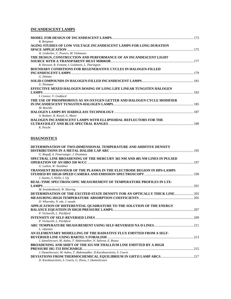#### **INCANDESCENT LAMPS**

| R. Bergman                                                            |  |
|-----------------------------------------------------------------------|--|
| AGING STUDIES OF LOW VOLTAGE INCANDESCENT LAMPS FOR LONG DURATION     |  |
|                                                                       |  |
| H. Leidecker, C. Powers, M. Viehmann                                  |  |
| THE DESIGN, CONSTRUCTION AND PERFORMANCE OF AN INCANDESCENT LIGHT     |  |
|                                                                       |  |
| R. Howson, R. Fontant, I. Goldstein, L. Thorington                    |  |
| <b>BOUNDARY CONDITIONS FOR REGENERATIVE CYCLES IN HALOGEN-FILLED</b>  |  |
|                                                                       |  |
| G. Dittmer                                                            |  |
|                                                                       |  |
| U. Niemann                                                            |  |
| EFFECTIVE MIXED HALOGEN DOSING OF LONG LIFE LINEAR TUNGSTEN HALOGEN   |  |
|                                                                       |  |
| I. Connor, V. Goddard                                                 |  |
| THE USE OF PHOSPHOROUS AS AN OXYGEN GETTER AND HALOGEN CYCLE MODIFIER |  |
|                                                                       |  |
| M. Beschle                                                            |  |
|                                                                       |  |
| A. Bodmer, R. Kiesel, G. Maier                                        |  |
| HALOGEN INCANDESCENT LAMPS WITH ELLIPSOIDAL REFLECTORS FOR THE        |  |
|                                                                       |  |
| K. Pescht                                                             |  |

## **DIAGNOSTICS**

| DETERMINATION OF TWO-DIMENSIONAL TEMPERATURE AND ADDITIVE DENSITY             |     |
|-------------------------------------------------------------------------------|-----|
|                                                                               |     |
| G. Rogoff, A. Feuersanger, J. Drummey                                         |     |
| SPECTRAL LINE BROADENING OF THE MERCURY 365 NM AND 405 NM LINES IN PULSED     |     |
|                                                                               |     |
| G. Luthen, W. Steudtner                                                       |     |
| <b>TRANSIENT BEHAVIOUR OF THE PLASMA IN THE ELECTRODE REGION IN HPS-LAMPS</b> |     |
|                                                                               |     |
| J. Szanto, S. Hollo, I. Uji                                                   |     |
| REAL-TIME SPECTROSCOPIC MEASUREMENT OF TEMPERATURE PROFILES IN LTE-           |     |
|                                                                               | 201 |
| M. brandenbusch, W. Heering                                                   |     |
|                                                                               |     |
|                                                                               |     |
| D. Wharmby, N. ede, J. meads                                                  |     |
| APPLICATION OF DIFFERENTIAL QUADRATURE TO THE SOLUTION OF THE ENERGY          |     |
|                                                                               |     |
| P. Vicharelli, L. Pitchford                                                   |     |
|                                                                               |     |
| P. Vicharelli, L. Pitchford                                                   |     |
|                                                                               |     |
| L. cifuentes                                                                  |     |
| AN ELEMENTARY MODELLING OF THE RADIATIVE FLUX EMITTED FROM A SELF-            |     |
|                                                                               |     |
| J. damelincourt, M. Aubes, T. Abdennadher, N. Salerno, E. Roaux               |     |
| <b>BROADENING AND SHIFT OF THE 655 NM THALLIUM LINE EMITTED BY A HIGH</b>     |     |
|                                                                               |     |
| J. Damelincourt, M. Aubes, T. Abdennadher, D. Karabourniotis, S. Couris       |     |
|                                                                               |     |
| D. Karabourniotis, S. Couris, G. Zissis, J. Damenlicourt                      |     |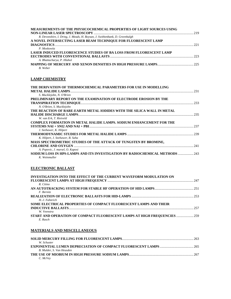| MEASUREMENTS OF THE PHYSICOCHEMICAL PROPERTIES OF LIGHT SOURCES USING       |     |
|-----------------------------------------------------------------------------|-----|
|                                                                             | 219 |
| R. Devonshire, I. Dring, J. Meads, H. Boysan, J. Swithenbank, D. Greenhalgh |     |
| A NOVEL INTERSECTING LASER BEAM TECHNIQUE FOR FLUORESCENT LAMP              |     |
| <b>DIAGNOSTICS</b>                                                          | 221 |
| P. Moskowitz                                                                |     |
| <b>LASER INDUCED FLUORESCENCE STUDIES OF BA LOSS FROM FLUORESCENT LAMP</b>  |     |
|                                                                             |     |
| A. Bhattacharya, P. Hlahol                                                  |     |
|                                                                             |     |
| R Weber                                                                     |     |

#### **LAMP CHEMISTRY**

| THE DERIVATION OF THERMOCHEMICAL PARAMETERS FOR USE IN MODELLING             |     |
|------------------------------------------------------------------------------|-----|
| <b>METAL HALIDE LAMPS.</b>                                                   | 231 |
| S. Mucklejohn, N. O'Brien                                                    |     |
| PRELIMINARY REPORT ON THE EXAMINATION OF ELECTRODE EROSION BY THE            |     |
|                                                                              |     |
| N. O'Brien, S. Mucklejohn                                                    |     |
| THE REACTION OF RARE-EARTH METAL IODIDES WITH THE SILICA WALL IN METAL       |     |
|                                                                              | 235 |
| W. van Erk, T. Rietveld                                                      |     |
| <b>COMPLEX FORMATION IN METAL HALIDE LAMPS. SODIUM ENHANCEMENT FOR THE</b>   |     |
|                                                                              | 237 |
| J. Seehawer, K. Hilpert                                                      |     |
|                                                                              |     |
| K. Hilpert, J. Seehawer, B. Saha                                             |     |
| MASS SPECTROMETRIC STUDIES OF THE ATTACK OF TUNGSTEN BY BROMINE,             |     |
| <b>CHLORINE AND OXYGEN</b>                                                   | 241 |
| A. Popovic, J. marsel, O. Kaposi                                             |     |
| SODIUM LOSS IN HPS-LAMPS AND ITS INVESTIGATION BY RADIOCHEMICAL METHODS  243 |     |
| K. Weinmuller                                                                |     |

### **ELECTRONIC BALLAST**

| INVESTIGATION INTO THE EFFECT OF THE CURRENT WAVEFORM MODULATION ON       |     |
|---------------------------------------------------------------------------|-----|
|                                                                           |     |
| R. Citino                                                                 |     |
|                                                                           |     |
| F. Bernitz                                                                |     |
|                                                                           |     |
| H.-J. Fahnrich                                                            |     |
| SOME ELECTRICAL PROPERTIES OF COMPACT FLUORESCENT LAMPS AND THEIR         |     |
| <b>INDUCTIVE BALLASTS</b>                                                 | 257 |
| W. Veenstra                                                               |     |
| START AND OPERATION OF COMPACT FLUORESCENT LAMPS AT HIGH FREQUENCIES  259 |     |
| E. Rasch                                                                  |     |

#### **MATERIALS AND MISCELLANEOUS**

| W. Schuster               |  |
|---------------------------|--|
|                           |  |
| B. Mulder, S. Van Heusden |  |
|                           |  |
| C. McVey                  |  |